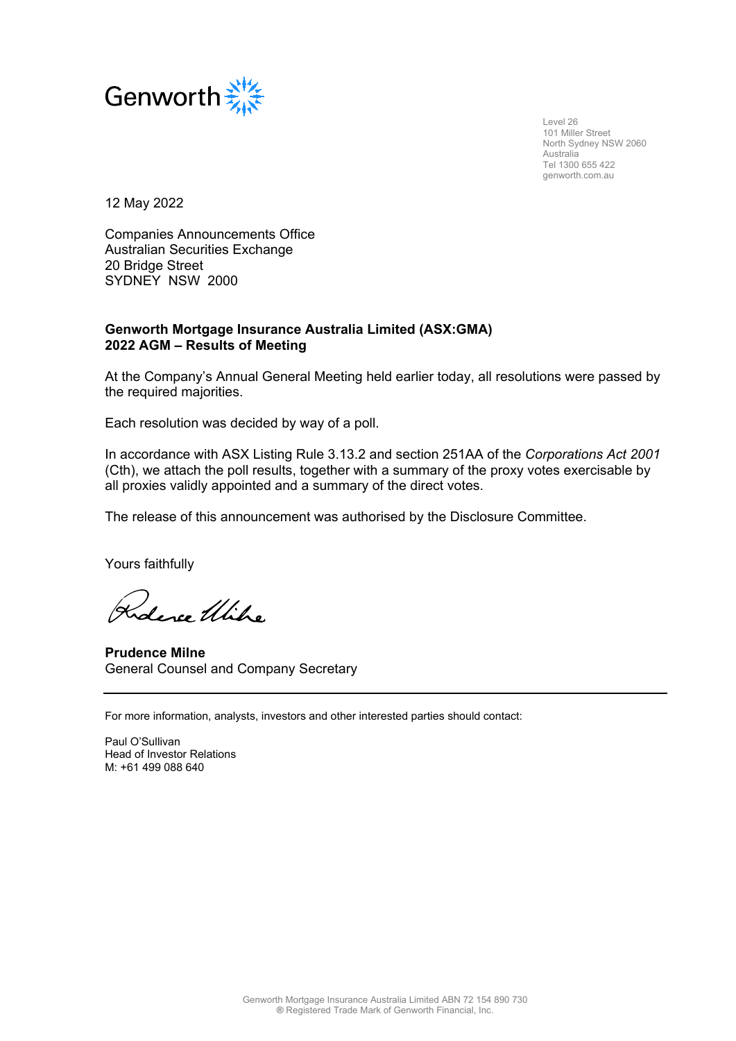

 Level 26 101 Miller Street North Sydney NSW 2060 Australia Tel 1300 655 422 genworth.com.au

12 May 2022

Companies Announcements Office Australian Securities Exchange 20 Bridge Street SYDNEY NSW 2000

## **Genworth Mortgage Insurance Australia Limited (ASX:GMA) 2022 AGM – Results of Meeting**

At the Company's Annual General Meeting held earlier today, all resolutions were passed by the required majorities.

Each resolution was decided by way of a poll.

In accordance with ASX Listing Rule 3.13.2 and section 251AA of the *Corporations Act 2001*  (Cth), we attach the poll results, together with a summary of the proxy votes exercisable by all proxies validly appointed and a summary of the direct votes.

The release of this announcement was authorised by the Disclosure Committee.

Yours faithfully

Roberce Utilia

**Prudence Milne** General Counsel and Company Secretary

For more information, analysts, investors and other interested parties should contact:

Paul O'Sullivan Head of Investor Relations M: +61 499 088 640